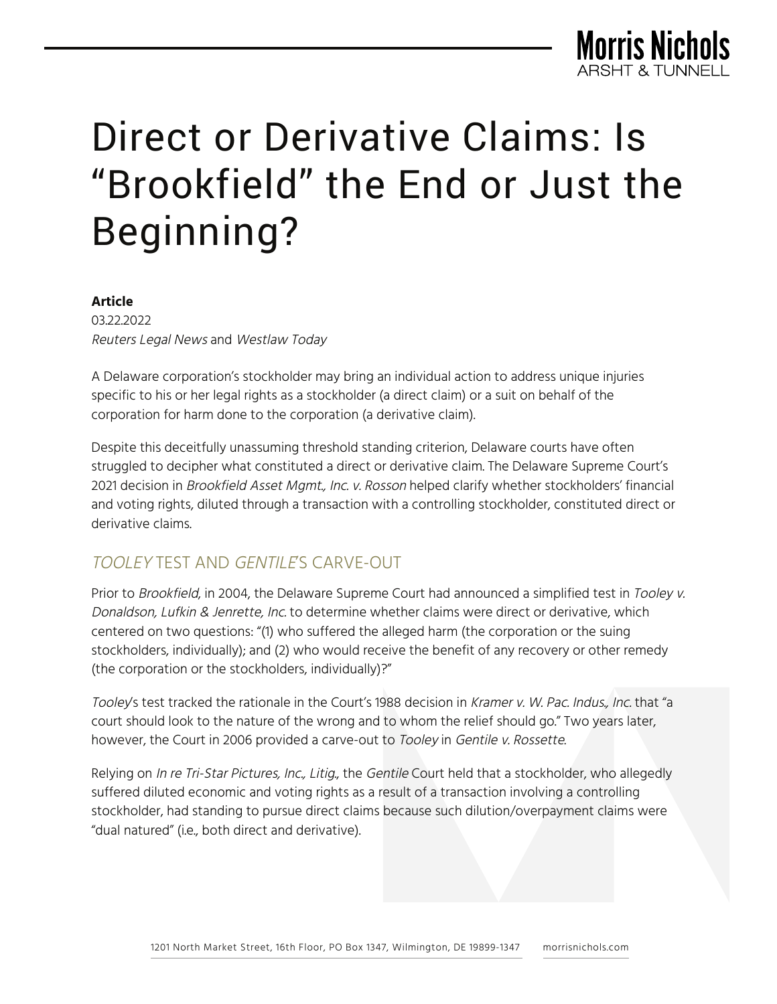

# Direct or Derivative Claims: Is "Brookfield" the End or Just the Beginning?

#### **Article**

03.22.2022 Reuters Legal News and Westlaw Today

A Delaware corporation's stockholder may bring an individual action to address unique injuries specific to his or her legal rights as a stockholder (a direct claim) or a suit on behalf of the corporation for harm done to the corporation (a derivative claim).

Despite this deceitfully unassuming threshold standing criterion, Delaware courts have often struggled to decipher what constituted a direct or derivative claim. The Delaware Supreme Court's 2021 decision in Brookfield Asset Mamt., Inc. v. Rosson helped clarify whether stockholders' financial and voting rights, diluted through a transaction with a controlling stockholder, constituted direct or derivative claims.

# TOOLEY TEST AND GENTILE'S CARVE-OUT

Prior to Brookfield, in 2004, the Delaware Supreme Court had announced a simplified test in Tooley v. Donaldson, Lufkin & Jenrette, Inc. to determine whether claims were direct or derivative, which centered on two questions: "(1) who suffered the alleged harm (the corporation or the suing stockholders, individually); and (2) who would receive the benefit of any recovery or other remedy (the corporation or the stockholders, individually)?"

Tooley's test tracked the rationale in the Court's 1988 decision in Kramer v. W. Pac. Indus., Inc. that "a court should look to the nature of the wrong and to whom the relief should go." Two years later, however, the Court in 2006 provided a carve-out to Tooley in Gentile v. Rossette.

Relying on In re Tri-Star Pictures, Inc., Litig., the Gentile Court held that a stockholder, who allegedly suffered diluted economic and voting rights as a result of a transaction involving a controlling stockholder, had standing to pursue direct claims because such dilution/overpayment claims were "dual natured" (i.e., both direct and derivative).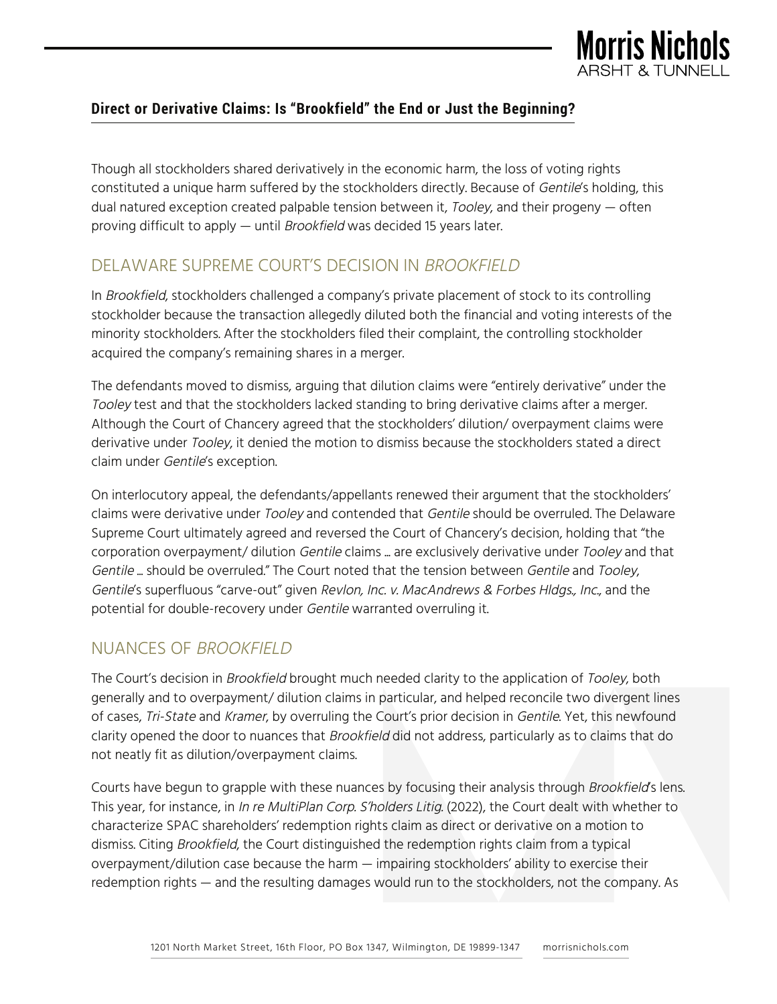

### **Direct or Derivative Claims: Is "Brookfield" the End or Just the Beginning?**

Though all stockholders shared derivatively in the economic harm, the loss of voting rights constituted a unique harm suffered by the stockholders directly. Because of Gentile's holding, this dual natured exception created palpable tension between it, *Tooley*, and their progeny – often proving difficult to apply — until Brookfield was decided 15 years later.

# DELAWARE SUPREME COURT'S DECISION IN BROOKFIELD

In Brookfield, stockholders challenged a company's private placement of stock to its controlling stockholder because the transaction allegedly diluted both the financial and voting interests of the minority stockholders. After the stockholders filed their complaint, the controlling stockholder acquired the company's remaining shares in a merger.

The defendants moved to dismiss, arguing that dilution claims were "entirely derivative" under the Tooley test and that the stockholders lacked standing to bring derivative claims after a merger. Although the Court of Chancery agreed that the stockholders' dilution/ overpayment claims were derivative under Tooley, it denied the motion to dismiss because the stockholders stated a direct claim under Gentile's exception.

On interlocutory appeal, the defendants/appellants renewed their argument that the stockholders' claims were derivative under Tooley and contended that Gentile should be overruled. The Delaware Supreme Court ultimately agreed and reversed the Court of Chancery's decision, holding that "the corporation overpayment/ dilution Gentile claims ... are exclusively derivative under Tooley and that Gentile ... should be overruled." The Court noted that the tension between Gentile and Tooley, Gentile's superfluous "carve-out" given Revlon, Inc. v. MacAndrews & Forbes Hidgs., Inc., and the potential for double-recovery under Gentile warranted overruling it.

# NUANCES OF BROOKFIELD

The Court's decision in *Brookfield* brought much needed clarity to the application of Tooley, both generally and to overpayment/ dilution claims in particular, and helped reconcile two divergent lines of cases, Tri-State and Kramer, by overruling the Court's prior decision in Gentile. Yet, this newfound clarity opened the door to nuances that *Brookfield* did not address, particularly as to claims that do not neatly fit as dilution/overpayment claims.

Courts have begun to grapple with these nuances by focusing their analysis through Brookfield's lens. This year, for instance, in In re MultiPlan Corp. S'holders Litig. (2022), the Court dealt with whether to characterize SPAC shareholders' redemption rights claim as direct or derivative on a motion to dismiss. Citing *Brookfield*, the Court distinguished the redemption rights claim from a typical overpayment/dilution case because the harm — impairing stockholders' ability to exercise their redemption rights — and the resulting damages would run to the stockholders, not the company. As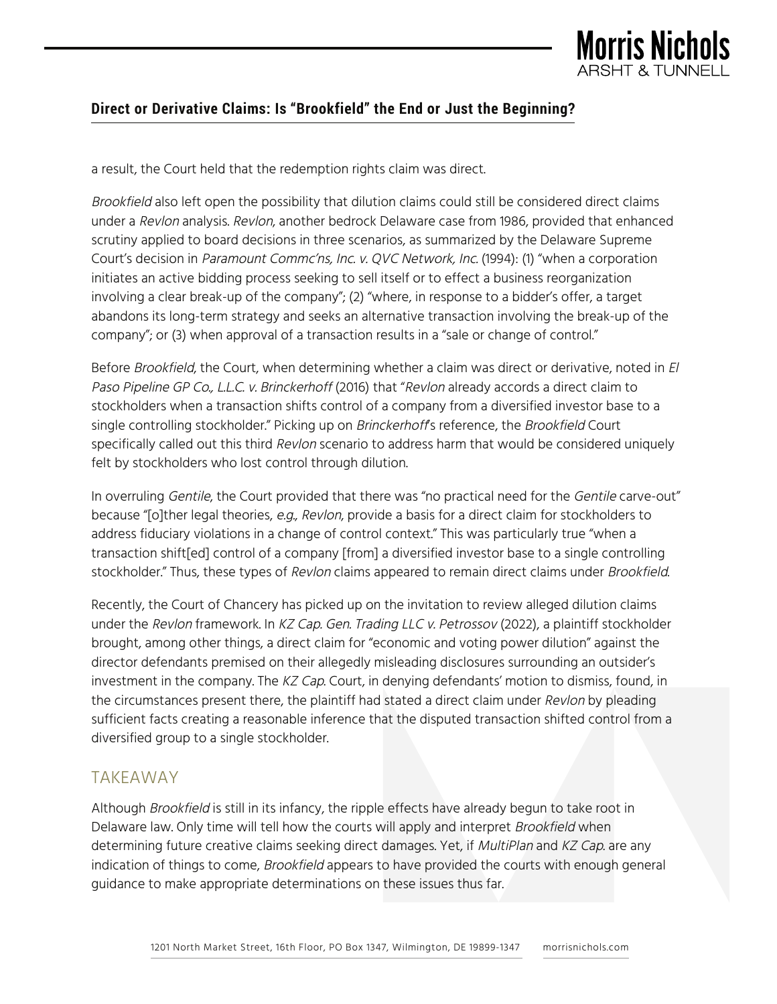

### **Direct or Derivative Claims: Is "Brookfield" the End or Just the Beginning?**

a result, the Court held that the redemption rights claim was direct.

Brookfield also left open the possibility that dilution claims could still be considered direct claims under a Revlon analysis. Revlon, another bedrock Delaware case from 1986, provided that enhanced scrutiny applied to board decisions in three scenarios, as summarized by the Delaware Supreme Court's decision in Paramount Commc'ns, Inc. v. QVC Network, Inc. (1994): (1) "when a corporation initiates an active bidding process seeking to sell itself or to effect a business reorganization involving a clear break-up of the company"; (2) "where, in response to a bidder's offer, a target abandons its long-term strategy and seeks an alternative transaction involving the break-up of the company"; or (3) when approval of a transaction results in a "sale or change of control."

Before Brookfield, the Court, when determining whether a claim was direct or derivative, noted in El Paso Pipeline GP Co., L.L.C. v. Brinckerhoff (2016) that "Revlon already accords a direct claim to stockholders when a transaction shifts control of a company from a diversified investor base to a single controlling stockholder." Picking up on Brinckerhoff's reference, the Brookfield Court specifically called out this third Revlon scenario to address harm that would be considered uniquely felt by stockholders who lost control through dilution.

In overruling Gentile, the Court provided that there was "no practical need for the Gentile carve-out" because "[o]ther legal theories, e.g., Revlon, provide a basis for a direct claim for stockholders to address fiduciary violations in a change of control context." This was particularly true "when a transaction shift[ed] control of a company [from] a diversified investor base to a single controlling stockholder." Thus, these types of Revlon claims appeared to remain direct claims under Brookfield.

Recently, the Court of Chancery has picked up on the invitation to review alleged dilution claims under the Revlon framework. In KZ Cap. Gen. Trading LLC v. Petrossov (2022), a plaintiff stockholder brought, among other things, a direct claim for "economic and voting power dilution" against the director defendants premised on their allegedly misleading disclosures surrounding an outsider's investment in the company. The  $KZ$  Cap. Court, in denying defendants' motion to dismiss, found, in the circumstances present there, the plaintiff had stated a direct claim under Revlon by pleading sufficient facts creating a reasonable inference that the disputed transaction shifted control from a diversified group to a single stockholder.

# TAKEAWAY

Although Brookfield is still in its infancy, the ripple effects have already begun to take root in Delaware law. Only time will tell how the courts will apply and interpret *Brookfield* when determining future creative claims seeking direct damages. Yet, if *MultiPlan* and KZ Cap. are any indication of things to come, Brookfield appears to have provided the courts with enough general guidance to make appropriate determinations on these issues thus far.